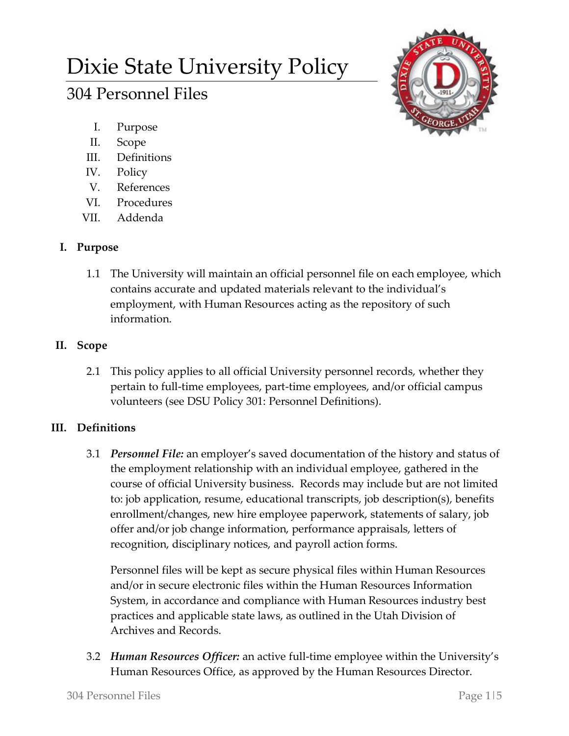# Dixie State University Policy

## 304 Personnel Files

- I. Purpose
- II. Scope
- III. Definitions
- IV. Policy
- V. References
- VI. Procedures
- VII. Addenda

## **I. Purpose**

1.1 The University will maintain an official personnel file on each employee, which contains accurate and updated materials relevant to the individual's employment, with Human Resources acting as the repository of such information.

## **II. Scope**

2.1 This policy applies to all official University personnel records, whether they pertain to full-time employees, part-time employees, and/or official campus volunteers (see DSU Policy 301: Personnel Definitions).

## **III. Definitions**

3.1 *Personnel File:* an employer's saved documentation of the history and status of the employment relationship with an individual employee, gathered in the course of official University business. Records may include but are not limited to: job application, resume, educational transcripts, job description(s), benefits enrollment/changes, new hire employee paperwork, statements of salary, job offer and/or job change information, performance appraisals, letters of recognition, disciplinary notices, and payroll action forms.

Personnel files will be kept as secure physical files within Human Resources and/or in secure electronic files within the Human Resources Information System, in accordance and compliance with Human Resources industry best practices and applicable state laws, as outlined in the Utah Division of Archives and Records.

3.2 *Human Resources Officer:* an active full-time employee within the University's Human Resources Office, as approved by the Human Resources Director.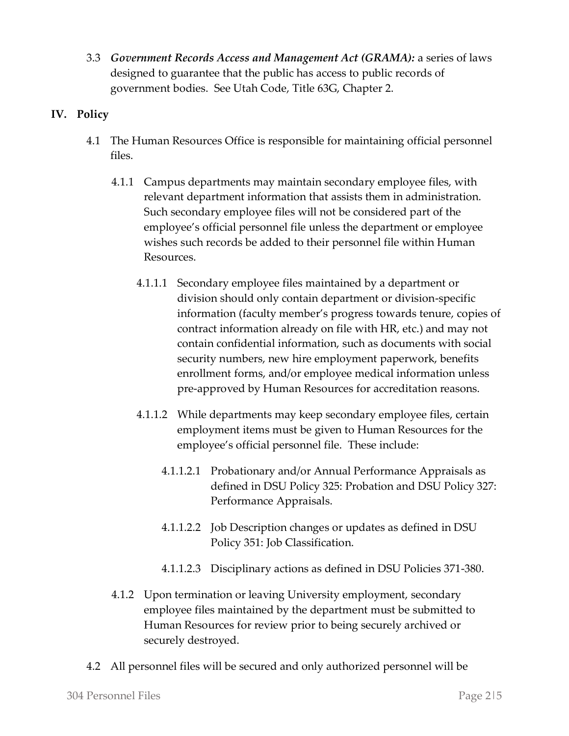3.3 *Government Records Access and Management Act (GRAMA):* a series of laws designed to guarantee that the public has access to public records of government bodies. See Utah Code, Title 63G, Chapter 2.

### **IV. Policy**

- 4.1 The Human Resources Office is responsible for maintaining official personnel files.
	- 4.1.1 Campus departments may maintain secondary employee files, with relevant department information that assists them in administration. Such secondary employee files will not be considered part of the employee's official personnel file unless the department or employee wishes such records be added to their personnel file within Human Resources.
		- 4.1.1.1 Secondary employee files maintained by a department or division should only contain department or division-specific information (faculty member's progress towards tenure, copies of contract information already on file with HR, etc.) and may not contain confidential information, such as documents with social security numbers, new hire employment paperwork, benefits enrollment forms, and/or employee medical information unless pre-approved by Human Resources for accreditation reasons.
		- 4.1.1.2 While departments may keep secondary employee files, certain employment items must be given to Human Resources for the employee's official personnel file. These include:
			- 4.1.1.2.1 Probationary and/or Annual Performance Appraisals as defined in DSU Policy 325: Probation and DSU Policy 327: Performance Appraisals.
			- 4.1.1.2.2 Job Description changes or updates as defined in DSU Policy 351: Job Classification.
			- 4.1.1.2.3 Disciplinary actions as defined in DSU Policies 371-380.
	- 4.1.2 Upon termination or leaving University employment, secondary employee files maintained by the department must be submitted to Human Resources for review prior to being securely archived or securely destroyed.
- 4.2 All personnel files will be secured and only authorized personnel will be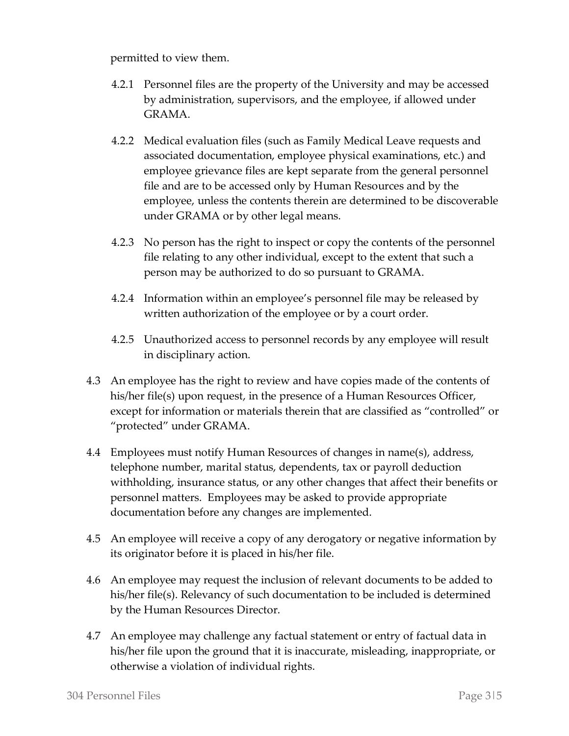permitted to view them.

- 4.2.1 Personnel files are the property of the University and may be accessed by administration, supervisors, and the employee, if allowed under GRAMA.
- 4.2.2 Medical evaluation files (such as Family Medical Leave requests and associated documentation, employee physical examinations, etc.) and employee grievance files are kept separate from the general personnel file and are to be accessed only by Human Resources and by the employee, unless the contents therein are determined to be discoverable under GRAMA or by other legal means.
- 4.2.3 No person has the right to inspect or copy the contents of the personnel file relating to any other individual, except to the extent that such a person may be authorized to do so pursuant to GRAMA.
- 4.2.4 Information within an employee's personnel file may be released by written authorization of the employee or by a court order.
- 4.2.5 Unauthorized access to personnel records by any employee will result in disciplinary action.
- 4.3 An employee has the right to review and have copies made of the contents of his/her file(s) upon request, in the presence of a Human Resources Officer, except for information or materials therein that are classified as "controlled" or "protected" under GRAMA.
- 4.4 Employees must notify Human Resources of changes in name(s), address, telephone number, marital status, dependents, tax or payroll deduction withholding, insurance status, or any other changes that affect their benefits or personnel matters. Employees may be asked to provide appropriate documentation before any changes are implemented.
- 4.5 An employee will receive a copy of any derogatory or negative information by its originator before it is placed in his/her file.
- 4.6 An employee may request the inclusion of relevant documents to be added to his/her file(s). Relevancy of such documentation to be included is determined by the Human Resources Director.
- 4.7 An employee may challenge any factual statement or entry of factual data in his/her file upon the ground that it is inaccurate, misleading, inappropriate, or otherwise a violation of individual rights.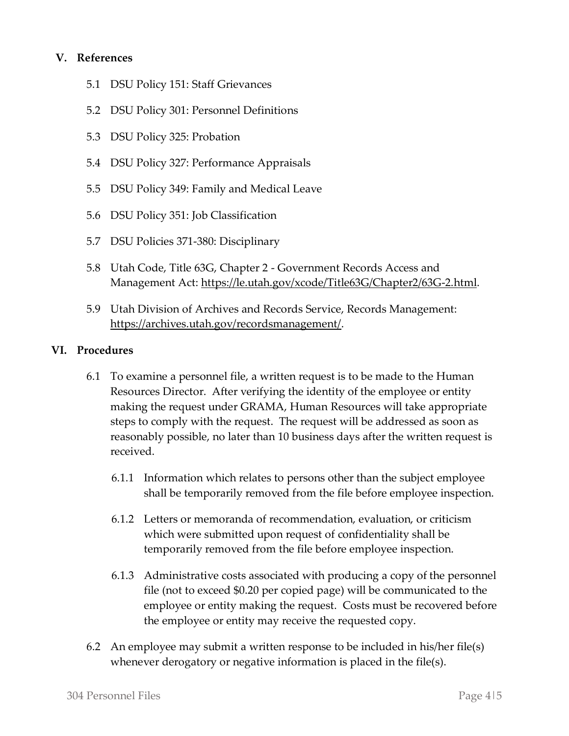#### **V. References**

- 5.1 DSU Policy 151: Staff Grievances
- 5.2 DSU Policy 301: Personnel Definitions
- 5.3 DSU Policy 325: Probation
- 5.4 DSU Policy 327: Performance Appraisals
- 5.5 DSU Policy 349: Family and Medical Leave
- 5.6 DSU Policy 351: Job Classification
- 5.7 DSU Policies 371-380: Disciplinary
- 5.8 Utah Code, Title 63G, Chapter 2 Government Records Access and Management Act: [https://le.utah.gov/xcode/Title63G/Chapter2/63G-2.html.](https://le.utah.gov/xcode/Title63G/Chapter2/63G-2.html)
- 5.9 Utah Division of Archives and Records Service, Records Management: [https://archives.utah.gov/recordsmanagement/.](https://archives.utah.gov/recordsmanagement/)

#### **VI. Procedures**

- 6.1 To examine a personnel file, a written request is to be made to the Human Resources Director. After verifying the identity of the employee or entity making the request under GRAMA, Human Resources will take appropriate steps to comply with the request. The request will be addressed as soon as reasonably possible, no later than 10 business days after the written request is received.
	- 6.1.1 Information which relates to persons other than the subject employee shall be temporarily removed from the file before employee inspection.
	- 6.1.2 Letters or memoranda of recommendation, evaluation, or criticism which were submitted upon request of confidentiality shall be temporarily removed from the file before employee inspection.
	- 6.1.3 Administrative costs associated with producing a copy of the personnel file (not to exceed \$0.20 per copied page) will be communicated to the employee or entity making the request. Costs must be recovered before the employee or entity may receive the requested copy.
- 6.2 An employee may submit a written response to be included in his/her file(s) whenever derogatory or negative information is placed in the file(s).